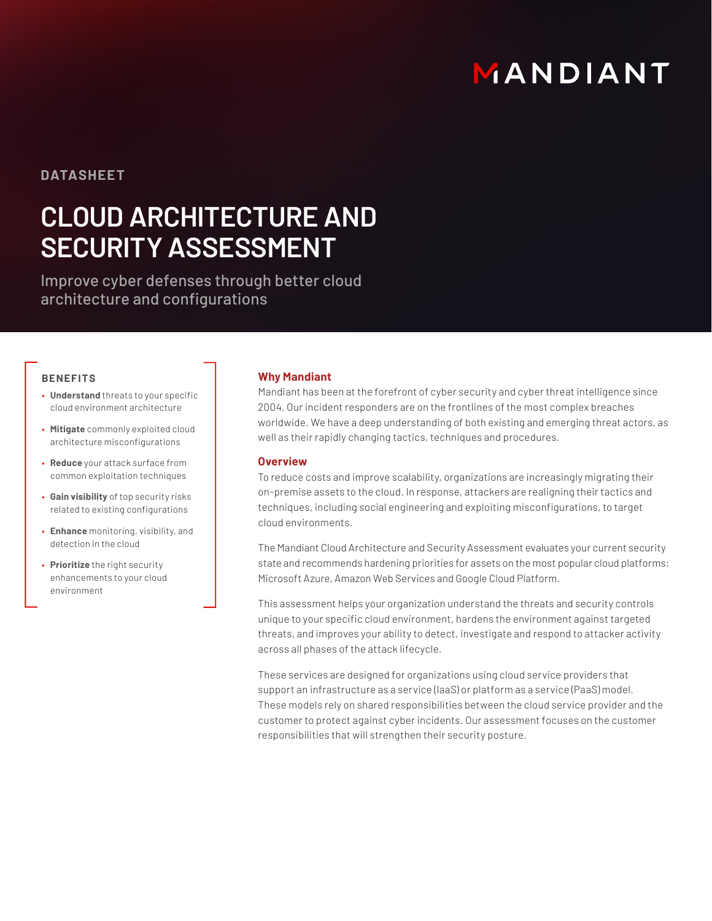# MANDIANT

# **DATASHEET**

# **CLOUD ARCHITECTURE AND SECURITY ASSESSMENT**

Improve cyber defenses through better cloud architecture and configurations

### **BENEFITS**

- **Understand** threats to your specific cloud environment architecture
- **Mitigate** commonly exploited cloud architecture misconfigurations
- **Reduce** your attack surface from common exploitation techniques
- **Gain visibility** of top security risks related to existing configurations
- **Enhance** monitoring, visibility, and detection in the cloud
- **Prioritize** the right security enhancements to your cloud environment

## **Why Mandiant**

Mandiant has been at the forefront of cyber security and cyber threat intelligence since 2004. Our incident responders are on the frontlines of the most complex breaches worldwide. We have a deep understanding of both existing and emerging threat actors, as well as their rapidly changing tactics, techniques and procedures.

# **Overview**

To reduce costs and improve scalability, organizations are increasingly migrating their on-premise assets to the cloud. In response, attackers are realigning their tactics and techniques, including social engineering and exploiting misconfigurations, to target cloud environments.

The Mandiant Cloud Architecture and Security Assessment evaluates your current security state and recommends hardening priorities for assets on the most popular cloud platforms: Microsoft Azure, Amazon Web Services and Google Cloud Platform.

This assessment helps your organization understand the threats and security controls unique to your specific cloud environment, hardens the environment against targeted threats, and improves your ability to detect, investigate and respond to attacker activity across all phases of the attack lifecycle.

These services are designed for organizations using cloud service providers that support an infrastructure as a service (IaaS) or platform as a service (PaaS) model. These models rely on shared responsibilities between the cloud service provider and the customer to protect against cyber incidents. Our assessment focuses on the customer responsibilities that will strengthen their security posture.